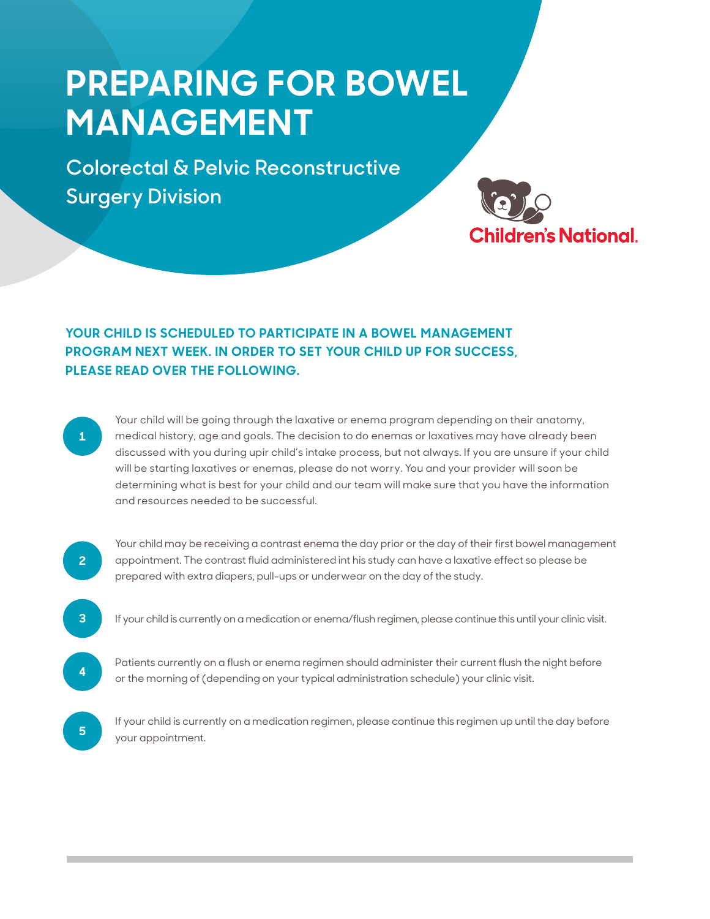## **PREPARING FOR BOWEL MANAGEMENT**

**Colorectal & Pelvic Reconstructive Surgery Division**



## **YOUR CHILD IS SCHEDULED TO PARTICIPATE IN A BOWEL MANAGEMENT PROGRAM NEXT WEEK. IN ORDER TO SET YOUR CHILD UP FOR SUCCESS, PLEASE READ OVER THE FOLLOWING.**

**1**

 Your child will be going through the laxative or enema program depending on their anatomy, medical history, age and goals. The decision to do enemas or laxatives may have already been discussed with you during upir child's intake process, but not always. If you are unsure if your child will be starting laxatives or enemas, please do not worry. You and your provider will soon be determining what is best for your child and our team will make sure that you have the information and resources needed to be successful.

**2**

Your child may be receiving a contrast enema the day prior or the day of their first bowel management appointment. The contrast fluid administered int his study can have a laxative effect so please be prepared with extra diapers, pull-ups or underwear on the day of the study.

- **3** If your child is currently on a medication or enema/flush regimen, please continue this until your clinic visit.
- Patients currently on a flush or enema regimen should administer their current flush the night before or the morning of (depending on your typical administration schedule) your clinic visit.

**5** If your child is currently on a medication regimen, please continue this regimen up until the day before your appointment.